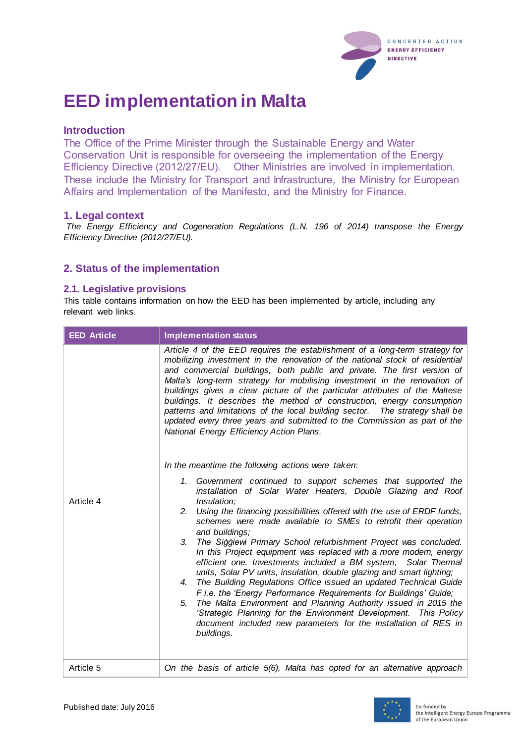

# **EED implementation in Malta**

### **Introduction**

The Office of the Prime Minister through the Sustainable Energy and Water Conservation Unit is responsible for overseeing the implementation of the Energy Efficiency Directive (2012/27/EU). Other Ministries are involved in implementation. These include the Ministry for Transport and Infrastructure, the Ministry for European Affairs and Implementation of the Manifesto, and the Ministry for Finance.

#### **1. Legal context**

*The Energy Efficiency and Cogeneration Regulations (L.N. 196 of 2014) transpose the Energy Efficiency Directive (2012/27/EU).*

# **2. Status of the implementation**

#### **2.1. Legislative provisions**

This table contains information on how the EED has been implemented by article, including any relevant web links.

| <b>EED Article</b> | <b>Implementation status</b>                                                                                                                                                                                                                                                                                                                                                                                                                                                                                                                                                                                                                                                                                                                                                                                                                                                                                                                                                                                                                                                                                                                                                                                                                                                                                                                                                                                                                                                                                                                                                                                                                                                                                                           |
|--------------------|----------------------------------------------------------------------------------------------------------------------------------------------------------------------------------------------------------------------------------------------------------------------------------------------------------------------------------------------------------------------------------------------------------------------------------------------------------------------------------------------------------------------------------------------------------------------------------------------------------------------------------------------------------------------------------------------------------------------------------------------------------------------------------------------------------------------------------------------------------------------------------------------------------------------------------------------------------------------------------------------------------------------------------------------------------------------------------------------------------------------------------------------------------------------------------------------------------------------------------------------------------------------------------------------------------------------------------------------------------------------------------------------------------------------------------------------------------------------------------------------------------------------------------------------------------------------------------------------------------------------------------------------------------------------------------------------------------------------------------------|
| Article 4          | Article 4 of the EED requires the establishment of a long-term strategy for<br>mobilizing investment in the renovation of the national stock of residential<br>and commercial buildings, both public and private. The first version of<br>Malta's long-term strategy for mobilising investment in the renovation of<br>buildings gives a clear picture of the particular attributes of the Maltese<br>buildings. It describes the method of construction, energy consumption<br>patterns and limitations of the local building sector.  The strategy shall be<br>updated every three years and submitted to the Commission as part of the<br>National Energy Efficiency Action Plans.<br>In the meantime the following actions were taken:<br>1. Government continued to support schemes that supported the<br>installation of Solar Water Heaters, Double Glazing and Roof<br>Insulation;<br>Using the financing possibilities offered with the use of ERDF funds,<br>2.<br>schemes were made available to SMEs to retrofit their operation<br>and buildings;<br>The Siggiewi Primary School refurbishment Project was concluded.<br>3.<br>In this Project equipment was replaced with a more modern, energy<br>efficient one. Investments included a BM system, Solar Thermal<br>units, Solar PV units, insulation, double glazing and smart lighting;<br>The Building Regulations Office issued an updated Technical Guide<br>4.<br>F i.e. the 'Energy Performance Requirements for Buildings' Guide;<br>The Malta Environment and Planning Authority issued in 2015 the<br>5.<br>'Strategic Planning for the Environment Development. This Policy<br>document included new parameters for the installation of RES in<br>buildings. |
| Article 5          | On the basis of article 5(6), Malta has opted for an alternative approach                                                                                                                                                                                                                                                                                                                                                                                                                                                                                                                                                                                                                                                                                                                                                                                                                                                                                                                                                                                                                                                                                                                                                                                                                                                                                                                                                                                                                                                                                                                                                                                                                                                              |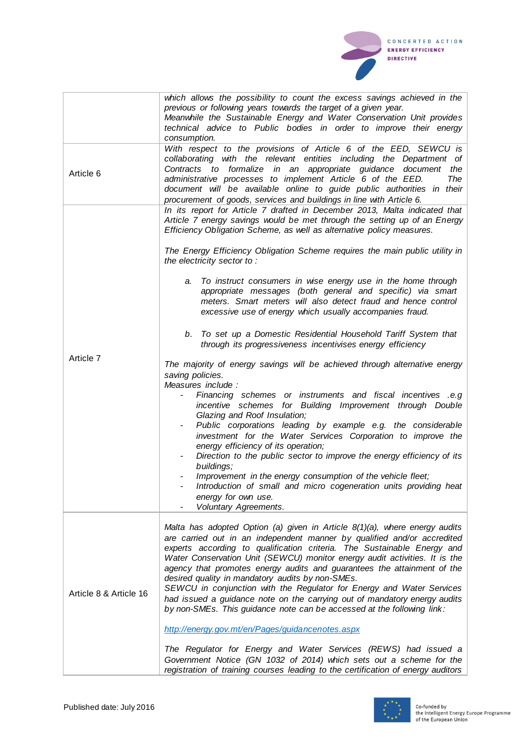CONCERTED ACTION **ENERGY EFFICIENCY DIRECTIVE** 

|                        | which allows the possibility to count the excess savings achieved in the<br>previous or following years towards the target of a given year.<br>Meanwhile the Sustainable Energy and Water Conservation Unit provides                                                                                                                                                                                                                                                                                                                                                                                                                                                          |
|------------------------|-------------------------------------------------------------------------------------------------------------------------------------------------------------------------------------------------------------------------------------------------------------------------------------------------------------------------------------------------------------------------------------------------------------------------------------------------------------------------------------------------------------------------------------------------------------------------------------------------------------------------------------------------------------------------------|
|                        | technical advice to Public bodies in order to improve their energy<br>consumption.                                                                                                                                                                                                                                                                                                                                                                                                                                                                                                                                                                                            |
| Article 6              | With respect to the provisions of Article 6 of the EED, SEWCU is<br>collaborating with the relevant entities including the Department of<br>Contracts to formalize in an appropriate guidance document the<br>administrative processes to implement Article 6 of the EED.<br>The<br>document will be available online to guide public authorities in their<br>procurement of goods, services and buildings in line with Article 6.                                                                                                                                                                                                                                            |
|                        | In its report for Article 7 drafted in December 2013, Malta indicated that<br>Article 7 energy savings would be met through the setting up of an Energy<br>Efficiency Obligation Scheme, as well as alternative policy measures.                                                                                                                                                                                                                                                                                                                                                                                                                                              |
|                        | The Energy Efficiency Obligation Scheme requires the main public utility in<br>the electricity sector to:                                                                                                                                                                                                                                                                                                                                                                                                                                                                                                                                                                     |
|                        | To instruct consumers in wise energy use in the home through<br>а.<br>appropriate messages (both general and specific) via smart<br>meters. Smart meters will also detect fraud and hence control<br>excessive use of energy which usually accompanies fraud.                                                                                                                                                                                                                                                                                                                                                                                                                 |
|                        | b. To set up a Domestic Residential Household Tariff System that<br>through its progressiveness incentivises energy efficiency                                                                                                                                                                                                                                                                                                                                                                                                                                                                                                                                                |
| Article 7              | The majority of energy savings will be achieved through alternative energy<br>saving policies.<br>Measures include :                                                                                                                                                                                                                                                                                                                                                                                                                                                                                                                                                          |
|                        | Financing schemes or instruments and fiscal incentives .e.g<br>incentive schemes for Building Improvement through Double<br>Glazing and Roof Insulation;<br>Public corporations leading by example e.g. the considerable<br>investment for the Water Services Corporation to improve the                                                                                                                                                                                                                                                                                                                                                                                      |
|                        | energy efficiency of its operation;<br>Direction to the public sector to improve the energy efficiency of its<br>buildings;                                                                                                                                                                                                                                                                                                                                                                                                                                                                                                                                                   |
|                        | Improvement in the energy consumption of the vehicle fleet;<br>Introduction of small and micro cogeneration units providing heat<br>energy for own use.<br>Voluntary Agreements.                                                                                                                                                                                                                                                                                                                                                                                                                                                                                              |
| Article 8 & Article 16 | Malta has adopted Option (a) given in Article 8(1)(a), where energy audits<br>are carried out in an independent manner by qualified and/or accredited<br>experts according to qualification criteria. The Sustainable Energy and<br>Water Conservation Unit (SEWCU) monitor energy audit activities. It is the<br>agency that promotes energy audits and guarantees the attainment of the<br>desired quality in mandatory audits by non-SMEs.<br>SEWCU in conjunction with the Regulator for Energy and Water Services<br>had issued a guidance note on the carrying out of mandatory energy audits<br>by non-SMEs. This guidance note can be accessed at the following link: |
|                        | http://energy.gov.mt/en/Pages/guidancenotes.aspx                                                                                                                                                                                                                                                                                                                                                                                                                                                                                                                                                                                                                              |
|                        | The Regulator for Energy and Water Services (REWS) had issued a<br>Government Notice (GN 1032 of 2014) which sets out a scheme for the<br>registration of training courses leading to the certification of energy auditors                                                                                                                                                                                                                                                                                                                                                                                                                                                    |

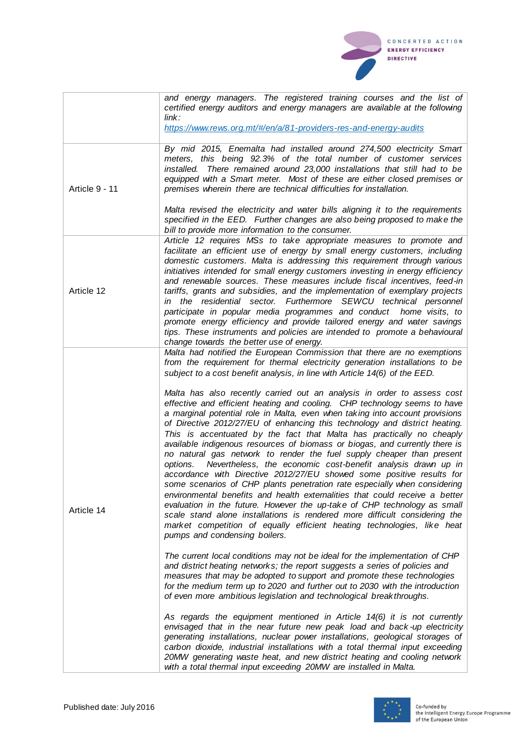|                | and energy managers. The registered training courses and the list of<br>certified energy auditors and energy managers are available at the following<br>link:                                                                                                                                                                                                                                                                                                                                                                                                                                                                                                                                                                                                                                                              |
|----------------|----------------------------------------------------------------------------------------------------------------------------------------------------------------------------------------------------------------------------------------------------------------------------------------------------------------------------------------------------------------------------------------------------------------------------------------------------------------------------------------------------------------------------------------------------------------------------------------------------------------------------------------------------------------------------------------------------------------------------------------------------------------------------------------------------------------------------|
|                | https://www.rews.org.mt/#/en/a/81-providers-res-and-energy-audits                                                                                                                                                                                                                                                                                                                                                                                                                                                                                                                                                                                                                                                                                                                                                          |
| Article 9 - 11 | By mid 2015, Enemalta had installed around 274,500 electricity Smart<br>meters, this being 92.3% of the total number of customer services<br>installed. There remained around 23,000 installations that still had to be<br>equipped with a Smart meter. Most of these are either closed premises or<br>premises wherein there are technical difficulties for installation.<br>Malta revised the electricity and water bills aligning it to the requirements<br>specified in the EED. Further changes are also being proposed to make the                                                                                                                                                                                                                                                                                   |
|                | bill to provide more information to the consumer.                                                                                                                                                                                                                                                                                                                                                                                                                                                                                                                                                                                                                                                                                                                                                                          |
| Article 12     | Article 12 requires MSs to take appropriate measures to promote and<br>facilitate an efficient use of energy by small energy customers, including<br>domestic customers. Malta is addressing this requirement through various<br>initiatives intended for small energy customers investing in energy efficiency<br>and renewable sources. These measures include fiscal incentives, feed-in<br>tariffs, grants and subsidies, and the implementation of exemplary projects<br>in the residential sector. Furthermore SEWCU technical personnel<br>participate in popular media programmes and conduct home visits, to<br>promote energy efficiency and provide tailored energy and water savings<br>tips. These instruments and policies are intended to promote a behavioural<br>change towards the better use of energy. |
| Article 14     | Malta had notified the European Commission that there are no exemptions<br>from the requirement for thermal electricity generation installations to be<br>subject to a cost benefit analysis, in line with Article 14(6) of the EED.<br>Malta has also recently carried out an analysis in order to assess cost<br>effective and efficient heating and cooling. CHP technology seems to have<br>a marginal potential role in Malta, even when taking into account provisions<br>of Directive 2012/27/EU of enhancing this technology and district heating.<br>This is accentuated by the fact that Malta has practically no cheaply                                                                                                                                                                                        |
|                | available indigenous resources of biomass or biogas, and currently there is<br>no natural gas network to render the fuel supply cheaper than present<br>Nevertheless, the economic cost-benefit analysis drawn up in<br>options.<br>accordance with Directive 2012/27/EU showed some positive results for<br>some scenarios of CHP plants penetration rate especially when considering<br>environmental benefits and health externalities that could receive a better<br>evaluation in the future. However the up-take of CHP technology as small<br>scale stand alone installations is rendered more difficult considering the<br>market competition of equally efficient heating technologies, like heat<br>pumps and condensing boilers.                                                                                |
|                | The current local conditions may not be ideal for the implementation of CHP<br>and district heating networks; the report suggests a series of policies and<br>measures that may be adopted to support and promote these technologies<br>for the medium term up to 2020 and further out to 2030 with the introduction<br>of even more ambitious legislation and technological breakthroughs.                                                                                                                                                                                                                                                                                                                                                                                                                                |
|                | As regards the equipment mentioned in Article 14(6) it is not currently<br>envisaged that in the near future new peak load and back-up electricity<br>generating installations, nuclear power installations, geological storages of<br>carbon dioxide, industrial installations with a total thermal input exceeding<br>20MW generating waste heat, and new district heating and cooling network<br>with a total thermal input exceeding 20MW are installed in Malta.                                                                                                                                                                                                                                                                                                                                                      |



CONCERTED ACTION **ENERGY EFFICIENCY DIRECTIVE**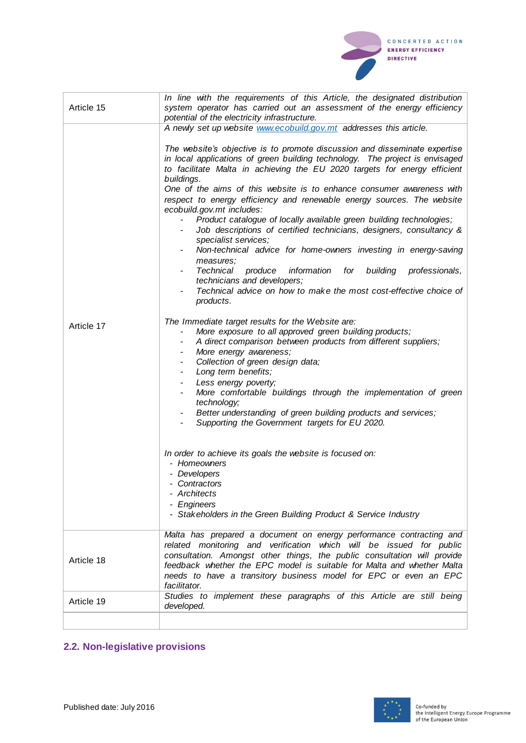

| Article 15 | In line with the requirements of this Article, the designated distribution<br>system operator has carried out an assessment of the energy efficiency<br>potential of the electricity infrastructure.                                                                                                                                                                                                                                                                                                                                                                                                                                                                                                                                                                                                                                                                                                                                                                                                                                                                                                                                                                                                                                                                                                                                                                                                                                                                                                                                                                                                                                                                            |
|------------|---------------------------------------------------------------------------------------------------------------------------------------------------------------------------------------------------------------------------------------------------------------------------------------------------------------------------------------------------------------------------------------------------------------------------------------------------------------------------------------------------------------------------------------------------------------------------------------------------------------------------------------------------------------------------------------------------------------------------------------------------------------------------------------------------------------------------------------------------------------------------------------------------------------------------------------------------------------------------------------------------------------------------------------------------------------------------------------------------------------------------------------------------------------------------------------------------------------------------------------------------------------------------------------------------------------------------------------------------------------------------------------------------------------------------------------------------------------------------------------------------------------------------------------------------------------------------------------------------------------------------------------------------------------------------------|
| Article 17 | A newly set up website www.ecobuild.gov.mt addresses this article.<br>The website's objective is to promote discussion and disseminate expertise<br>in local applications of green building technology. The project is envisaged<br>to facilitate Malta in achieving the EU 2020 targets for energy efficient<br>buildings.<br>One of the aims of this website is to enhance consumer awareness with<br>respect to energy efficiency and renewable energy sources. The website<br>ecobuild.gov.mt includes:<br>Product catalogue of locally available green building technologies;<br>Job descriptions of certified technicians, designers, consultancy &<br>specialist services;<br>Non-technical advice for home-owners investing in energy-saving<br>measures;<br>Technical<br>produce<br>information<br>building<br>for<br>professionals,<br>technicians and developers;<br>Technical advice on how to make the most cost-effective choice of<br>products.<br>The Immediate target results for the Website are:<br>More exposure to all approved green building products;<br>A direct comparison between products from different suppliers;<br>More energy awareness;<br>Collection of green design data;<br>Long term benefits;<br>Less energy poverty;<br>More comfortable buildings through the implementation of green<br>technology;<br>Better understanding of green building products and services;<br>Supporting the Government targets for EU 2020.<br>In order to achieve its goals the website is focused on:<br>- Homeowners<br>- Developers<br>- Contractors<br>- Architects<br>- Engineers<br>- Stakeholders in the Green Building Product & Service Industry |
| Article 18 | Malta has prepared a document on energy performance contracting and<br>related monitoring and verification which will be issued for public<br>consultation. Amongst other things, the public consultation will provide<br>feedback whether the EPC model is suitable for Malta and whether Malta<br>needs to have a transitory business model for EPC or even an EPC<br>facilitator.                                                                                                                                                                                                                                                                                                                                                                                                                                                                                                                                                                                                                                                                                                                                                                                                                                                                                                                                                                                                                                                                                                                                                                                                                                                                                            |
| Article 19 | Studies to implement these paragraphs of this Article are still being<br>developed.                                                                                                                                                                                                                                                                                                                                                                                                                                                                                                                                                                                                                                                                                                                                                                                                                                                                                                                                                                                                                                                                                                                                                                                                                                                                                                                                                                                                                                                                                                                                                                                             |
|            |                                                                                                                                                                                                                                                                                                                                                                                                                                                                                                                                                                                                                                                                                                                                                                                                                                                                                                                                                                                                                                                                                                                                                                                                                                                                                                                                                                                                                                                                                                                                                                                                                                                                                 |

# **2.2. Non-legislative provisions**